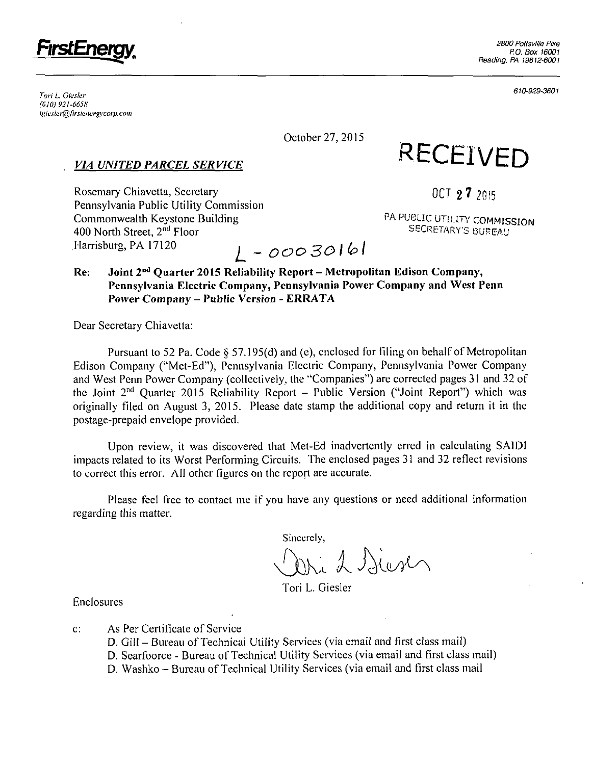

<sup>r</sup> . . . 610-929-3601 Ion L. (jiesier *(610) 921-6658 lHiesler@firsieiierg}-corp,com* 

October 27, 2015

# *VIA UNITED PARCEL SERVICE*

**RECEIVED** 

Rosemary Chiavetta, Secretary **Chiavetta**, Secretary **Chiavetta**, Secretary **Chiavetta Chiavetta Chiavetta Chiavetta Chiavetta Chiavetta Chiavetta Chiavetta Chiavetta Chiavetta Chiavetta Chiavetta C** Pennsylvania Public Utility Commission Commonwealth Keystone Building P A REPORT OF THE CONTRACTOR CONTRACTOR CONTRACTOR 400 North Street, 2<sup>nd</sup> Floor<br>Harrisburg, PA 17120 *Harrisburg, PA 17120 ^ \_ 0VO30lb l* 

PA PUBLIC UTILITY COMMISSION SECRETARY'S BUREAU

## Re: Joint 2<sup>nd</sup> Quarter 2015 Reliability Report – Metropolitan Edison Company, **Pennsylvania Electric Company, Pennsylvania Power Company and West Pcnn Power Company - Public Version - ERRATA**

Dear Secretary Chiavetta:

Pursuant to 52 Pa. Code § 57.195(d) and (e), enclosed for filing on behalf of Metropolitan Edison Company ("Met-Ed"), Pennsylvania Electric Company, Pennsylvania Power Company and West Perm Power Company (collectively, the "Companies") are corrected pages 31 and 32 of the Joint 2<sup>nd</sup> Quarter 2015 Reliability Report – Public Version ("Joint Report") which was originally filed on August 3, 2015. Please date stamp the additional copy and return it in the postage-prepaid envelope provided.

Upon review, it was discovered that Met-Ed inadvertently erred in calculating SAIDl impacts related to its Worst Performing Circuits. The enclosed pages 31 and 32 reflect revisions to correct this error. All other figures on the report are accurate.

Please feel free to contact me if you have any questions or need additional information regarding this matter.

Sincerely,

Dri 2 Sier

Tori L. Giesler

Enclosures

- c: As Per Certificate of Service
	- D. Giil Bureau of Technical Utility Services (via email and first class mail)
	- D. Searfoorce Bureau of Technical Utility Services (via email and first class mail)
	- D. Washko Bureau of Technical Utility Services (via email and first class mail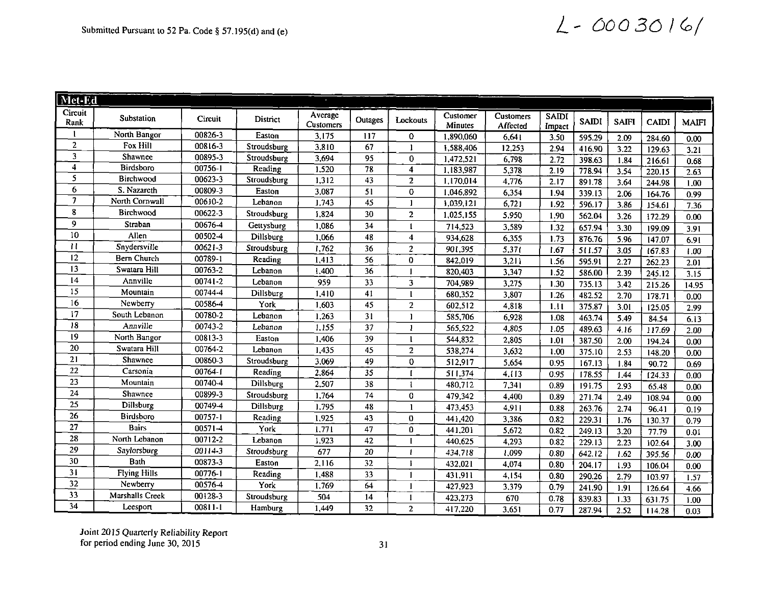# Submitted Pursuant to 52 Pa. Code § 57.195(d) and (e)  $\angle -00030$  /6/

| Met-Ed                  |                     |             |             |                      |                 |                |                     |                       |                        |              |              |              |              |
|-------------------------|---------------------|-------------|-------------|----------------------|-----------------|----------------|---------------------|-----------------------|------------------------|--------------|--------------|--------------|--------------|
| Circuit<br>Rank         | Substation          | Circuit     | District    | Average<br>Customers | Outages         | Lockouts       | Customer<br>Minutes | Customers<br>Affected | <b>SAIDI</b><br>Impact | <b>SAIDI</b> | <b>SAIFI</b> | <b>CAIDI</b> | <b>MAIFI</b> |
| 1                       | North Bangor        | 00826-3     | Easton      | 3,175                | 117             | 0              | 1,890,060           | 6,641                 | 3.50                   | 595.29       | 2.09         | 284.60       | 0.00         |
| $\boldsymbol{2}$        | Fox Hill            | 00816-3     | Stroudsburg | 3,810                | 67              | $\mathbf{1}$   | 1,588,406           | 12,253                | 2.94                   | 416.90       | 3.22         | 129.63       | 3.21         |
| $\mathbf{3}$            | Shawnee             | 00895-3     | Stroudsburg | 3,694                | 95              | $\bf{0}$       | 1,472,521           | 6,798                 | 2.72                   | 398.63       | 1.34         | 216.61       | 0.68         |
| $\overline{4}$          | <b>Birdsboro</b>    | $00756 - 1$ | Reading     | 1,520                | $\overline{78}$ | 4              | 1,183,987           | 5,378                 | 2.19                   | 778.94       | 3.54         | 220.15       | 2.63         |
| $\overline{\mathbf{5}}$ | Birchwood           | 00623-3     | Stroudsburg | 1,312                | 43              | $\overline{2}$ | 1,170,014           | 4,776                 | 2.17                   | 891.78       | 3.64         | 244.98       | 1.00         |
| $\overline{6}$          | S. Nazareth         | 00809-3     | Easton      | 3,087                | 51              | $\mathbf{O}$   | 1,046,892           | 6,354                 | 1.94                   | 339.13       | 2.06         | 164.76       | 0.99         |
|                         | North Cornwall      | 00610-2     | Lebanon     | 1.743                | $\overline{45}$ | 1              | 1,039,121           | 6,721                 | 1.92                   | 596.17       | 3.86         | 154.61       | 7.36         |
| 8                       | Birchwood           | 00622-3     | Stroudsburg | 1,824                | 30              | $\overline{2}$ | 1,025,155           | 5,950                 | 1.90                   | 562.04       | 3.26         | 172.29       | 0.00         |
| $\overline{9}$          | Straban             | 00676-4     | Gettysburg  | 1,086                | 34              | 1              | 714,523             | 3,589                 | 1.32                   | 657.94       | 3.30         | 199.09       | 3.91         |
| $\overline{10}$         | Allen               | 00502-4     | Dillsburg   | 1,066                | 48              | 4              | 934,628             | 6,355                 | 1.73                   | 876.76       | 5.96         | 147.07       | 6.91         |
| $\mathbf{H}$            | Snydersville        | 00621-3     | Stroudsburg | 1,762                | 36              | $\overline{c}$ | 901,395             | 5,37                  | 1.67                   | 511.57       | 3.05         | 167.83       | 1.00         |
| 12                      | <b>Bern Church</b>  | 00789-1     | Reading     | 1,413                | 56              | $\mathbf 0$    | 842,019             | 3,211                 | 1.56                   | 595.91       | 2.27         | 262.23       | 2.01         |
| 13                      | Swatara Hill        | 00763-2     | Lebanon     | 1,400                | 36              | 1              | 820,403             | 3,347                 | 1.52                   | 586.00       | 2.39         | 245.12       | 3.15         |
| $\bf{14}$               | Annville            | 00741-2     | Lebanon     | 959                  | 33              | 3              | 704,989             | 3,275                 | 1,30                   | 735.13       | 3.42         | 215.26       | 14.95        |
| $\overline{15}$         | Mountain            | 00744-4     | Dillsburg   | 1,410                | $\overline{41}$ | $\mathbf{1}$   | 680,352             | 3,807                 | 1.26                   | 482.52       | 2.70         | 178.71       | 0.00         |
| $\overline{16}$         | Newberry            | 00586-4     | York        | 1,603                | 45              | $\overline{2}$ | 602,512             | 4,818                 | 1.11                   | 375.87       | 3.01         | 125.05       | 2.99         |
| 17                      | South Lebanon       | 00780-2     | Lebanon     | 1,263                | 31              | 1              | 585,706             | 6,928                 | 1.08                   | 463.74       | 5.49         | 84.54        | 6.13         |
| $\overline{18}$         | Annville            | 00743-2     | Lebanon     | 1,155                | $\overline{37}$ | 1              | 565,522             | 4,805                 | 1.05                   | 489.63       | 4.16         | 117.69       | 2.00         |
| 19                      | North Bangor        | 00813-3     | Easton      | 1,406                | 39              | $\mathbf{1}$   | 544,832             | 2,805                 | 1.01                   | 387.50       | 2.00         | 194.24       | 0.00         |
| $\overline{20}$         | Swatara Hill        | 00764-2     | Lebanon     | 1,435                | 45              | $\overline{a}$ | 538,274             | 3,632                 | 1.00                   | 375.10       | 2.53         | 148.20       | 0.00         |
| 21                      | Shawnee             | 00860-3     | Stroudsburg | 3,069                | 49              | 0              | 512,917             | 5,654                 | 0.95                   | 167.13       | 1.34         | 90.72        | 0.69         |
| 22                      | Carsonia            | $00764 - 1$ | Reading     | 2,864                | $\overline{35}$ | $\mathbf{I}$   | 511,374             | 4,113                 | 0.95                   | 178.55       | 1.44         | 124.33       | 0.00         |
| 23                      | Mountain            | 00740-4     | Dillsburg   | 2,507                | 38              | 1              | 480,712             | 7,341                 | 0.89                   | 191.75       | 2.93         | 65.48        | 0.00         |
| 24                      | Shawnee             | 00899-3     | Stroudsburg | 1,764                | 74              | 0              | 479,342             | 4,400                 | 0.89                   | 271.74       | 2.49         | 108.94       | 0.00         |
| 25                      | Dillsburg           | 00749-4     | Dillsburg   | 1.795                | 48              | $\mathbf{1}$   | 473,453             | 4,911                 | 0.88                   | 263.76       | 2.74         | 96.41        | 0.19         |
| 26                      | <b>Birdsboro</b>    | 00757-1     | Reading     | 1,925                | 43              | $\mathbf 0$    | 441,420             | 3,386                 | 0.82                   | 229.31       | 1.76         | 130.37       | 0.79         |
| 27                      | <b>Bairs</b>        | 00571-4     | York        | 1,771                | 47              | $\mathbf{0}$   | 441,201             | 5,672                 | 0.82                   | 249.13       | 3.20         | 77.79        | 0.01         |
| 28                      | North Lebanon       | 00712-2     | Lebanon     | 1,923                | 42              | I.             | 440,625             | 4,293                 | 0.82                   | 229.13       | 2.23         | 102.64       | 3.00         |
| 29                      | Saylorsburg         | 00114-3     | Stroudsburg | 677                  | 20              | ı              | 434,718             | 1,099                 | 0.80                   | 642.12       | 1.62         | 395.56       | 0.00         |
| 30                      | Bath                | 00873-3     | Easton      | 2,116                | 32              | Ť              | 432,021             | 4,074                 | 0.80                   | 204.17       | 1.93         | 106.04       | 0.00         |
| 31                      | <b>Flying Hills</b> | 00776-1     | Reading     | 1,488                | 33              | 1              | 431,911             | 4.154                 | 0.80                   | 290.26       | 2.79         | 103.97       | 1.57         |
| 32                      | Newberry            | 00576-4     | York        | 1,769                | 64              | 1              | 427,923             | 3,379                 | 0.79                   | 241.90       | 1.91         | 126.64       | 4.66         |
| $\overline{33}$         | Marshalls Creek     | 00128-3     | Stroudsburg | 504                  | 14              | $\mathbf{1}$   | 423,273             | 670                   | 0.78                   | 839.83       | 1.33         | 631.75       | 1.00         |
| $\overline{34}$         | Leesport            | 00811-1     | Hamburg     | 1,449                | 32              | $\overline{2}$ | 417,220             | 3,651                 | 0.77                   | 287.94       | 2.52         | 114.28       | 0.03         |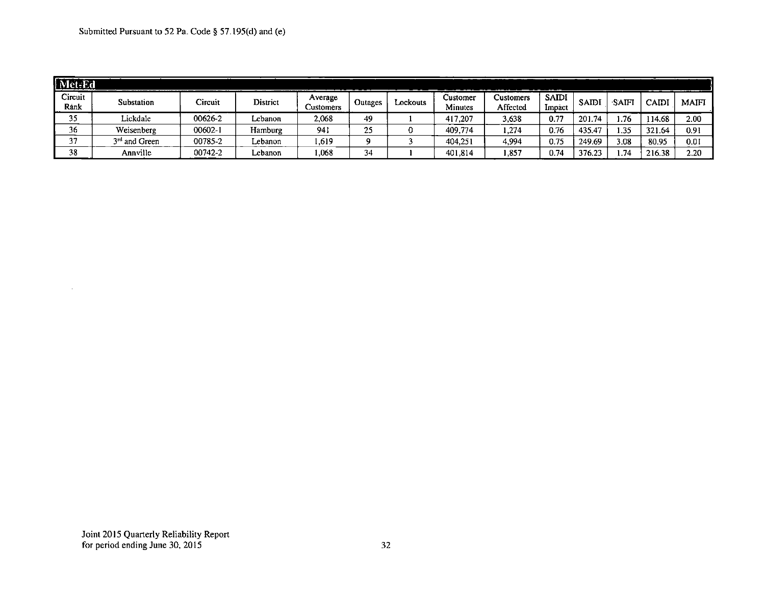| Met-Ed          |                           |         |          |                      |         |          |                     |                              |                        |        |      |             |              |
|-----------------|---------------------------|---------|----------|----------------------|---------|----------|---------------------|------------------------------|------------------------|--------|------|-------------|--------------|
| Circuit<br>Rank | Substation                | Circuit | District | Average<br>Customers | Outages | Lockouts | Customer<br>Minutes | <b>Customers</b><br>Affected | <b>SAIDI</b><br>Impact | SAIDI  | SAIF | $\cap$ AID) | <b>MAIFI</b> |
| 35              | Lickdale                  | 00626-2 | Lebanon  | 2,068                | 49      |          | 417,207             | 3,638                        | 0.77                   | 201.74 | .76  | 14.68       | 2.00         |
| 36              | Weisenberg                | 00602-1 | Hamburg  | 941                  | 25      |          | 409.774             | ,274                         | 0.76                   | 435.47 | .35  | 321.64      | 0.91         |
| 37              | 3 <sup>rd</sup> and Green | 00785-2 | Lebanon  | .,619                | Ω       |          | 404.251             | 4,994                        | 0.75                   | 249.69 | 3.08 | 80.95       | 0.01         |
| 38              | Annville                  | 00742-2 | Lebanon  | .068                 | 34      |          | 401.814             | .857                         | 0.74                   | 376.2. | .74  | 216.38      | 2.20         |

 $\cdot$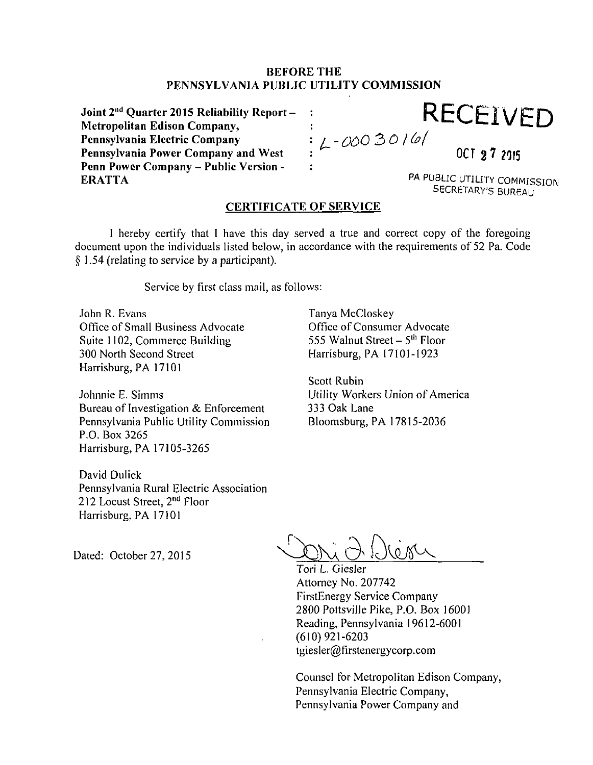#### **BEFORE THE PENNSYLVANIA PUBLIC UTILITY COMMISSION**

 $\ddot{\cdot}$  $\overline{\mathbf{r}}$ 

**Joint 2 <sup>n</sup> <sup>d</sup> Quarter 2015 Reliability Report - Metropolitan Edison Company, Pennsylvania Electric Company Pennsylvania Power Company and West Penn Power Company - Public Version - ERATTA** 

**RECEIVED**<br>: L-0003016

**0012 7 2015** 

PA PUBLIC UTILITY COMMISSION SECRETARY'S BUREAU

## **CERTIFICATE OF SERVICE**

I hereby certify that I have this day served a true and correct copy of the foregoing document upon the individuals listed below, in accordance with the requirements of 52 Pa. Code § 1.54 (relating to service by a participant).

Tanya McCloskey

Scott Rubin

333 Oak Lane

Office of Consumer Advocate 555 Walnut Street – 5<sup>th</sup> Floor Harrisburg, PA 17101-1923

Utility Workers Union of America

Bloomsburg, PA 17815-2036

Service by first class mail, as follows:

John R. Evans Office of Small Business Advocate Suite 1102, Commerce Building 300 North Second Street Harrisburg, PA 17101

Johnnie E. Simms Bureau of Investigation & Enforcement Pennsylvania Public Utility Commission P.O. Box 3265 Harrisburg, PA 17105-3265

David Dulick Pennsylvania Rural Electric Association 212 Locust Street, 2<sup>nd</sup> Floor Harrisburg, PA 17101

Dated: October 27, 2015

**r** 

Tori L. Giesler Attorney No. 207742 FirstEnergy Service Company 2800 Pottsville Pike, P.O. Box 16001 Reading, Pennsylvania 19612-6001 (610) 921-6203 tgiesler@firstenergycorp.com

Counsel for Metropolitan Edison Company, Pennsylvania Electric Company, Pennsylvania Power Company and